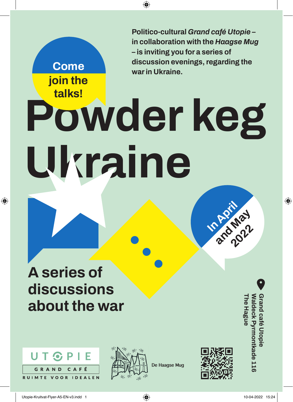**Politico-cultural** *Grand café Utopie* **– in collaboration with the** *Haagse Mug* **– is inviting you for a series of discussion evenings, regarding the war in Ukraine.** 

## **Powder keg Ukraine talks!**

 $\bigcirc$ 

## **A series of discussions about the war**

**Come** 

**join the** 

 $\bigoplus$ 





**De Haagse Mug** 



**In April**

**And May** 

**The Hague Waldeck Pyrmontkade 116**

/aldeck Pyrmontkade 116

**he Hague** 

**Grand café Utopie** 

rand café Utopie

 $\bigoplus$